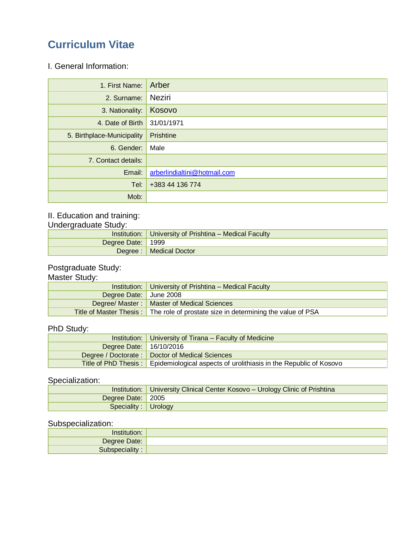## **Curriculum Vitae**

I. General Information:

| 1. First Name: Arber       |                              |
|----------------------------|------------------------------|
| 2. Surname:                | Neziri                       |
| 3. Nationality:            | Kosovo                       |
| 4. Date of Birth           | 31/01/1971                   |
| 5. Birthplace-Municipality | Prishtine                    |
| 6. Gender: Male            |                              |
| 7. Contact details:        |                              |
| Email:                     | arberlindialtini@hotmail.com |
| Tel:                       | +383 44 136 774              |
| Mob:                       |                              |

## II. Education and training:

Undergraduate Study:

|                   | Institution:   University of Prishtina – Medical Faculty |
|-------------------|----------------------------------------------------------|
| Degree Date: 1999 |                                                          |
|                   | Degree :   Medical Doctor                                |

#### Postgraduate Study:

#### Master Study:

|                        | Institution:   University of Prishtina - Medical Faculty                          |  |
|------------------------|-----------------------------------------------------------------------------------|--|
| Degree Date: June 2008 |                                                                                   |  |
|                        | Degree/ Master:   Master of Medical Sciences                                      |  |
|                        | Title of Master Thesis: The role of prostate size in determining the value of PSA |  |

## PhD Study:

|                         | Institution:   University of Tirana – Faculty of Medicine                              |  |  |
|-------------------------|----------------------------------------------------------------------------------------|--|--|
| Degree Date: 16/10/2016 |                                                                                        |  |  |
|                         | Degree / Doctorate :   Doctor of Medical Sciences                                      |  |  |
|                         | Title of PhD Thesis: Epidemiological aspects of urolithiasis in the Republic of Kosovo |  |  |

## Specialization:

|                      | Institution:   University Clinical Center Kosovo - Urology Clinic of Prishtina |
|----------------------|--------------------------------------------------------------------------------|
| Degree Date: 2005    |                                                                                |
| Speciality : Urology |                                                                                |

## Subspecialization:

| Degree Date: |  |
|--------------|--|
|              |  |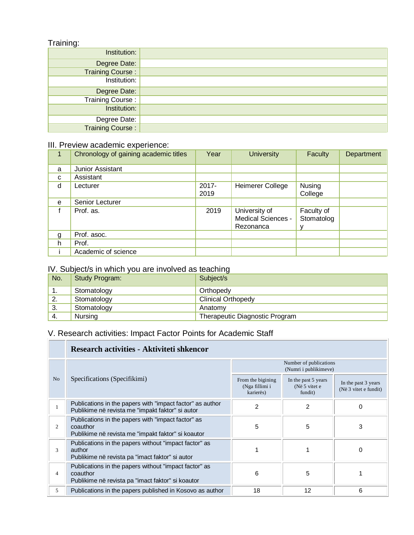## Training:

| ັ                       |  |
|-------------------------|--|
| Institution:            |  |
| Degree Date:            |  |
| <b>Training Course:</b> |  |
| Institution:            |  |
| Degree Date:            |  |
| <b>Training Course:</b> |  |
| Institution:            |  |
| Degree Date:            |  |
| <b>Training Course:</b> |  |

#### III. Preview academic experience:

|   | Chronology of gaining academic titles | Year             | <b>University</b>                                | Faculty                  | Department |
|---|---------------------------------------|------------------|--------------------------------------------------|--------------------------|------------|
| a | Junior Assistant                      |                  |                                                  |                          |            |
| C | Assistant                             |                  |                                                  |                          |            |
| d | Lecturer                              | $2017 -$<br>2019 | Heimerer College                                 | Nusing<br>College        |            |
| e | Senior Lecturer                       |                  |                                                  |                          |            |
|   | Prof. as.                             | 2019             | University of<br>Medical Sciences -<br>Rezonanca | Faculty of<br>Stomatolog |            |
| g | Prof. asoc.                           |                  |                                                  |                          |            |
| h | Prof.                                 |                  |                                                  |                          |            |
|   | Academic of science                   |                  |                                                  |                          |            |

## IV. Subject/s in which you are involved as teaching

| No. | Study Program: | ີ<br>Subject/s                 |
|-----|----------------|--------------------------------|
| . . | Stomatology    | Orthopedy                      |
| 2.  | Stomatology    | <b>Clinical Orthopedy</b>      |
| 3.  | Stomatology    | Anatomy                        |
| -4. | Nursing        | Therapeutic Diagnostic Program |

# V. Research activities: Impact Factor Points for Academic Staff

|                | Research activities - Aktiviteti shkencor                                                                              |                                                  |                                                 |                                              |  |
|----------------|------------------------------------------------------------------------------------------------------------------------|--------------------------------------------------|-------------------------------------------------|----------------------------------------------|--|
|                |                                                                                                                        | Number of publications<br>(Numri i publikimeve)  |                                                 |                                              |  |
| N <sub>o</sub> | Specifications (Specifikimi)                                                                                           | From the bigining<br>(Nga fillimi i<br>karierës) | In the past 5 years<br>(Në 5 vitet e<br>fundit) | In the past 3 years<br>(Në 3 vitet e fundit) |  |
|                | Publications in the papers with "impact factor" as author<br>Publikime në revista me "impakt faktor" si autor          | 2                                                | 2                                               | 0                                            |  |
| $\overline{c}$ | Publications in the papers with "impact factor" as<br>coauthor<br>Publikime në revista me "impakt faktor" si koautor   | 5                                                | 5                                               | 3                                            |  |
| 3              | Publications in the papers without "impact factor" as<br>author<br>Publikime në revista pa "imact faktor" si autor     |                                                  |                                                 | $\Omega$                                     |  |
| 4              | Publications in the papers without "impact factor" as<br>coauthor<br>Publikime në revista pa "imact faktor" si koautor | 6                                                | 5                                               |                                              |  |
| 5              | Publications in the papers published in Kosovo as author                                                               | 18                                               | 12                                              | 6                                            |  |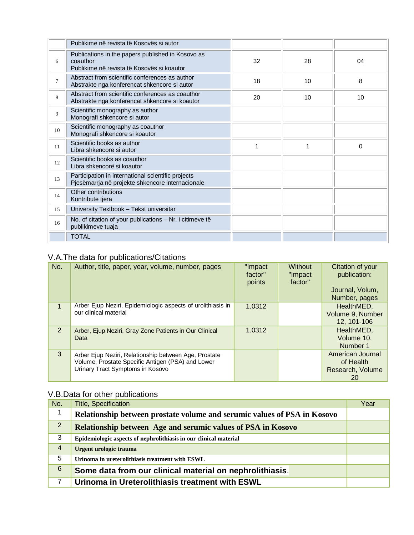|                | Publikime në revista të Kosovës si autor                                                                    |    |    |    |
|----------------|-------------------------------------------------------------------------------------------------------------|----|----|----|
| 6              | Publications in the papers published in Kosovo as<br>coauthor<br>Publikime në revista të Kosovës si koautor | 32 | 28 | 04 |
| $\overline{7}$ | Abstract from scientific conferences as author<br>Abstrakte nga konferencat shkencore si autor              | 18 | 10 | 8  |
| 8              | Abstract from scientific conferences as coauthor<br>Abstrakte nga konferencat shkencore si koautor          | 20 | 10 | 10 |
| 9              | Scientific monography as author<br>Monografi shkencore si autor                                             |    |    |    |
| 10             | Scientific monography as coauthor<br>Monografi shkencore si koautor                                         |    |    |    |
| 11             | Scientific books as author<br>Libra shkencorë si autor                                                      | 1  |    | 0  |
| 12             | Scientific books as coauthor<br>Libra shkencorë si koautor                                                  |    |    |    |
| 13             | Participation in international scientific projects<br>Pjesëmarrja në projekte shkencore internacionale      |    |    |    |
| 14             | Other contributions<br>Kontribute tjera                                                                     |    |    |    |
| 15             | University Textbook - Tekst universitar                                                                     |    |    |    |
| 16             | No. of citation of your publications - Nr. i citimeve të<br>publikimeve tuaja                               |    |    |    |
|                | <b>TOTAL</b>                                                                                                |    |    |    |

## V.A.The data for publications/Citations

| No.          | Author, title, paper, year, volume, number, pages                                                                                              | "Impact<br>factor"<br>points | Without<br>"Impact<br>factor" | Citation of your<br>publication:<br>Journal, Volum,<br>Number, pages |
|--------------|------------------------------------------------------------------------------------------------------------------------------------------------|------------------------------|-------------------------------|----------------------------------------------------------------------|
| $\mathbf{1}$ | Arber Ejup Neziri, Epidemiologic aspects of urolithiasis in<br>our clinical material                                                           | 1.0312                       |                               | HealthMED,<br>Volume 9, Number<br>12, 101-106                        |
| 2            | Arber, Ejup Neziri, Gray Zone Patients in Our Clinical<br>Data                                                                                 | 1.0312                       |                               | HealthMED,<br>Volume 10,<br>Number 1                                 |
| 3            | Arber Ejup Neziri, Relationship between Age, Prostate<br>Volume, Prostate Specific Antigen (PSA) and Lower<br>Urinary Tract Symptoms in Kosovo |                              |                               | American Journal<br>of Health<br>Research, Volume<br>20              |

## V.B.Data for other publications

| No.             | <b>Title, Specification</b>                                              | Year |
|-----------------|--------------------------------------------------------------------------|------|
| 1               | Relationship between prostate volume and serumic values of PSA in Kosovo |      |
| $\overline{2}$  | Relationship between Age and serumic values of PSA in Kosovo             |      |
| 3               | Epidemiologic aspects of nephrolithiasis in our clinical material        |      |
| $\overline{4}$  | Urgent urologic trauma                                                   |      |
| 5               | Urinoma in ureterolithiasis treatment with ESWL                          |      |
| $6\phantom{1}6$ | Some data from our clinical material on nephrolithiasis.                 |      |
| 7               | Urinoma in Ureterolithiasis treatment with ESWL                          |      |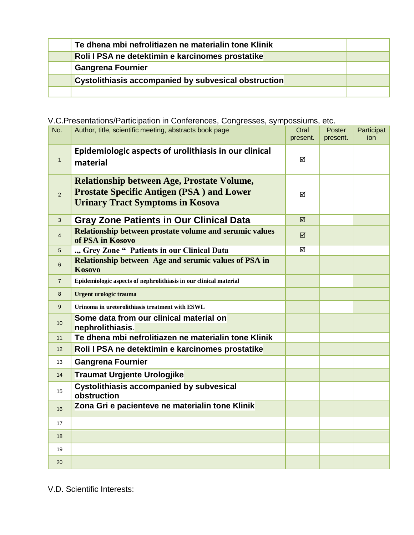| Te dhena mbi nefrolitiazen ne materialin tone Klinik |  |
|------------------------------------------------------|--|
| Roli I PSA ne detektimin e karcinomes prostatike     |  |
| <b>Gangrena Fournier</b>                             |  |
| Cystolithiasis accompanied by subvesical obstruction |  |
|                                                      |  |

## V.C.Presentations/Participation in Conferences, Congresses, sympossiums, etc.

| No.            | Author, title, scientific meeting, abstracts book page                                                                                           | Oral<br>present. | Poster<br>present. | Participat<br>ion |
|----------------|--------------------------------------------------------------------------------------------------------------------------------------------------|------------------|--------------------|-------------------|
| $\mathbf{1}$   | Epidemiologic aspects of urolithiasis in our clinical<br>material                                                                                | ☑                |                    |                   |
| $\overline{2}$ | <b>Relationship between Age, Prostate Volume,</b><br><b>Prostate Specific Antigen (PSA) and Lower</b><br><b>Urinary Tract Symptoms in Kosova</b> | ☑                |                    |                   |
| 3              | <b>Gray Zone Patients in Our Clinical Data</b>                                                                                                   | ☑                |                    |                   |
| $\overline{4}$ | Relationship between prostate volume and serumic values<br>of PSA in Kosovo                                                                      | ☑                |                    |                   |
| 5              | ., Grey Zone " Patients in our Clinical Data                                                                                                     | ☑                |                    |                   |
| 6              | Relationship between Age and serumic values of PSA in<br>Kosovo                                                                                  |                  |                    |                   |
| $\overline{7}$ | Epidemiologic aspects of nephrolithiasis in our clinical material                                                                                |                  |                    |                   |
| 8              | Urgent urologic trauma                                                                                                                           |                  |                    |                   |
| 9              | Urinoma in ureterolithiasis treatment with ESWL                                                                                                  |                  |                    |                   |
| 10             | Some data from our clinical material on<br>nephrolithiasis.                                                                                      |                  |                    |                   |
| 11             | Te dhena mbi nefrolitiazen ne materialin tone Klinik                                                                                             |                  |                    |                   |
| 12             | Roli I PSA ne detektimin e karcinomes prostatike                                                                                                 |                  |                    |                   |
| 13             | <b>Gangrena Fournier</b>                                                                                                                         |                  |                    |                   |
| 14             | <b>Traumat Urgjente Urologjike</b>                                                                                                               |                  |                    |                   |
| 15             | <b>Cystolithiasis accompanied by subvesical</b><br>obstruction                                                                                   |                  |                    |                   |
| 16             | Zona Gri e pacienteve ne materialin tone Klinik                                                                                                  |                  |                    |                   |
| 17             |                                                                                                                                                  |                  |                    |                   |
| 18             |                                                                                                                                                  |                  |                    |                   |
| 19             |                                                                                                                                                  |                  |                    |                   |
| 20             |                                                                                                                                                  |                  |                    |                   |

V.D. Scientific Interests: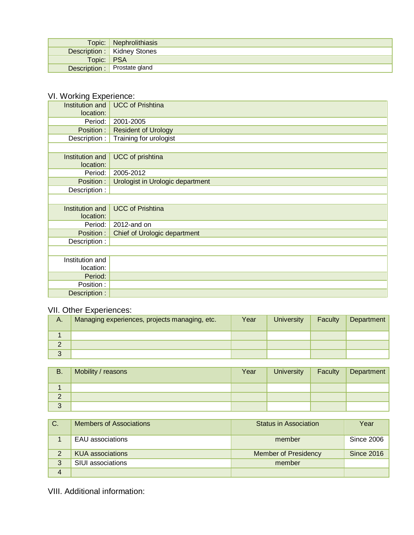|            | Topic:   Nephrolithiasis     |
|------------|------------------------------|
|            | Description : Kidney Stones  |
| Topic: PSA |                              |
|            | Description : Prostate gland |

## VI. Working Experience:

| location:<br>Period:<br>2001-2005<br>Position:<br><b>Resident of Urology</b><br>Training for urologist<br>Description :<br>Institution and<br>UCC of prishtina<br>location:<br>Period:<br>2005-2012<br>Position :<br>Urologist in Urologic department<br>Description :<br><b>UCC</b> of Prishtina<br>Institution and<br>location:<br>2012-and on<br>Period:<br>Position:<br>Chief of Urologic department<br>Description :<br>Institution and<br>location:<br>Period:<br>Position :<br>Description : |                 |                         |
|-----------------------------------------------------------------------------------------------------------------------------------------------------------------------------------------------------------------------------------------------------------------------------------------------------------------------------------------------------------------------------------------------------------------------------------------------------------------------------------------------------|-----------------|-------------------------|
|                                                                                                                                                                                                                                                                                                                                                                                                                                                                                                     | Institution and | <b>UCC of Prishtina</b> |
|                                                                                                                                                                                                                                                                                                                                                                                                                                                                                                     |                 |                         |
|                                                                                                                                                                                                                                                                                                                                                                                                                                                                                                     |                 |                         |
|                                                                                                                                                                                                                                                                                                                                                                                                                                                                                                     |                 |                         |
|                                                                                                                                                                                                                                                                                                                                                                                                                                                                                                     |                 |                         |
|                                                                                                                                                                                                                                                                                                                                                                                                                                                                                                     |                 |                         |
|                                                                                                                                                                                                                                                                                                                                                                                                                                                                                                     |                 |                         |
|                                                                                                                                                                                                                                                                                                                                                                                                                                                                                                     |                 |                         |
|                                                                                                                                                                                                                                                                                                                                                                                                                                                                                                     |                 |                         |
|                                                                                                                                                                                                                                                                                                                                                                                                                                                                                                     |                 |                         |
|                                                                                                                                                                                                                                                                                                                                                                                                                                                                                                     |                 |                         |
|                                                                                                                                                                                                                                                                                                                                                                                                                                                                                                     |                 |                         |
|                                                                                                                                                                                                                                                                                                                                                                                                                                                                                                     |                 |                         |
|                                                                                                                                                                                                                                                                                                                                                                                                                                                                                                     |                 |                         |
|                                                                                                                                                                                                                                                                                                                                                                                                                                                                                                     |                 |                         |
|                                                                                                                                                                                                                                                                                                                                                                                                                                                                                                     |                 |                         |
|                                                                                                                                                                                                                                                                                                                                                                                                                                                                                                     |                 |                         |
|                                                                                                                                                                                                                                                                                                                                                                                                                                                                                                     |                 |                         |
|                                                                                                                                                                                                                                                                                                                                                                                                                                                                                                     |                 |                         |
|                                                                                                                                                                                                                                                                                                                                                                                                                                                                                                     |                 |                         |
|                                                                                                                                                                                                                                                                                                                                                                                                                                                                                                     |                 |                         |
|                                                                                                                                                                                                                                                                                                                                                                                                                                                                                                     |                 |                         |
|                                                                                                                                                                                                                                                                                                                                                                                                                                                                                                     |                 |                         |

## VII. Other Experiences:

| А.     | Managing experiences, projects managing, etc. | Year | <b>University</b> | Faculty | Department |
|--------|-----------------------------------------------|------|-------------------|---------|------------|
|        |                                               |      |                   |         |            |
|        |                                               |      |                   |         |            |
| 2<br>J |                                               |      |                   |         |            |

| <b>B.</b> | Mobility / reasons | Year | <b>University</b> | Faculty | Department |
|-----------|--------------------|------|-------------------|---------|------------|
|           |                    |      |                   |         |            |
| ∠         |                    |      |                   |         |            |
| 3         |                    |      |                   |         |            |

| C. | <b>Members of Associations</b> | <b>Status in Association</b> | Year              |
|----|--------------------------------|------------------------------|-------------------|
|    | <b>EAU</b> associations        | member                       | <b>Since 2006</b> |
|    | <b>KUA</b> associations        | <b>Member of Presidency</b>  | <b>Since 2016</b> |
| 3  | SIUI associations              | member                       |                   |
| 4  |                                |                              |                   |

VIII. Additional information: